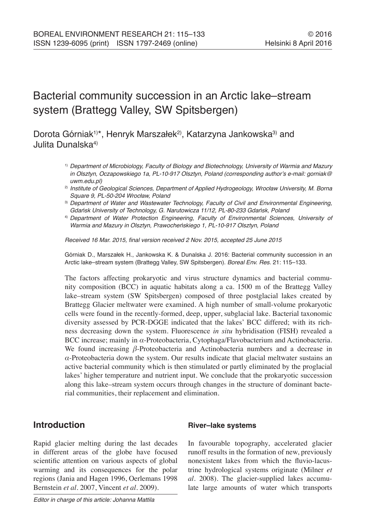# Bacterial community succession in an Arctic lake–stream system (Brattegg Valley, SW Spitsbergen)

# Dorota Górniak<sup>1)\*</sup>, Henryk Marszałek<sup>2)</sup>, Katarzyna Jankowska<sup>3)</sup> and Julita Dunalska4)

- 1) *Department of Microbiology, Faculty of Biology and Biotechnology, University of Warmia and Mazury in Olsztyn, Oczapowskiego 1a, PL-10-917 Olsztyn, Poland (corresponding author's e-mail: gorniak@ uwm.edu.pl)*
- <sup>2)</sup> Institute of Geological Sciences, Department of Applied Hydrogeology, Wrocław University, M. Borna Square 9, PL-50-204 Wrocław, Poland
- 3) *Department of Water and Wastewater Technology, Faculty of Civil and Environmental Engineering,*  Gdańsk University of Technology, G. Narutowicza 11/12, PL-80-233 Gdańsk, Poland
- 4) *Department of Water Protection Engineering, Faculty of Environmental Sciences, University of*  Warmia and Mazury in Olsztyn, Prawocheńskiego 1, PL-10-917 Olsztyn, Poland

Received 16 Mar. 2015, final version received 2 Nov. 2015, accepted 25 June 2015

Górniak D., Marszałek H., Jankowska K. & Dunalska J. 2016: Bacterial community succession in an Arctic lake–stream system (Brattegg Valley, SW Spitsbergen). *Boreal Env. Res.* 21: 115–133.

The factors affecting prokaryotic and virus structure dynamics and bacterial community composition (BCC) in aquatic habitats along a ca. 1500 m of the Brattegg Valley lake–stream system (SW Spitsbergen) composed of three postglacial lakes created by Brattegg Glacier meltwater were examined. A high number of small-volume prokaryotic cells were found in the recently-formed, deep, upper, subglacial lake. Bacterial taxonomic diversity assessed by PCR-DGGE indicated that the lakes' BCC differed; with its richness decreasing down the system. Fluorescence *in situ* hybridisation (FISH) revealed a BCC increase; mainly in *α*-Proteobacteria, Cytophaga/Flavobacterium and Actinobacteria. We found increasing *β*-Proteobacteria and Actinobacteria numbers and a decrease in *α*-Proteobacteria down the system*.* Our results indicate that glacial meltwater sustains an active bacterial community which is then stimulated or partly eliminated by the proglacial lakes' higher temperature and nutrient input. We conclude that the prokaryotic succession along this lake–stream system occurs through changes in the structure of dominant bacterial communities, their replacement and elimination.

# **Introduction**

### **River–lake systems**

Rapid glacier melting during the last decades in different areas of the globe have focused scientific attention on various aspects of global warming and its consequences for the polar regions (Jania and Hagen 1996, Oerlemans 1998 Bernstein *et al.* 2007, Vincent *et al.* 2009).

In favourable topography, accelerated glacier runoff results in the formation of new, previously nonexistent lakes from which the fluvio-lacustrine hydrological systems originate (Milner *et al.* 2008). The glacier-supplied lakes accumulate large amounts of water which transports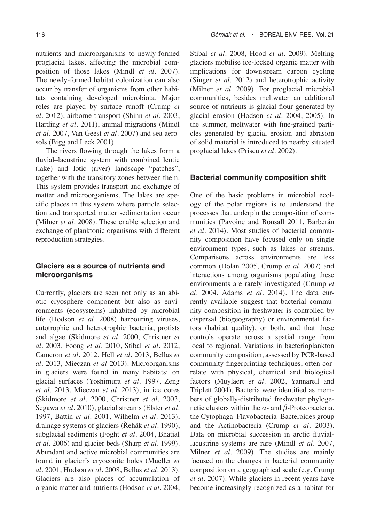nutrients and microorganisms to newly-formed proglacial lakes, affecting the microbial composition of those lakes (Mindl *et al.* 2007). The newly-formed habitat colonization can also occur by transfer of organisms from other habitats containing developed microbiota. Major roles are played by surface runoff (Crump *et al.* 2012), airborne transport (Shinn *et al.* 2003, Harding *et al.* 2011), animal migrations (Mindl *et al.* 2007, Van Geest *et al.* 2007) and sea aerosols (Bigg and Leck 2001).

The rivers flowing through the lakes form a fluvial–lacustrine system with combined lentic (lake) and lotic (river) landscape "patches", together with the transitory zones between them. This system provides transport and exchange of matter and microorganisms. The lakes are specific places in this system where particle selection and transported matter sedimentation occur (Milner *et al.* 2008). These enable selection and exchange of planktonic organisms with different reproduction strategies.

### **Glaciers as a source of nutrients and microorganisms**

Currently, glaciers are seen not only as an abiotic cryosphere component but also as environments (ecosystems) inhabited by microbial life (Hodson *et al.* 2008) harbouring viruses, autotrophic and heterotrophic bacteria, protists and algae (Skidmore *et al.* 2000, Christner *et al.* 2003, Foong *et al.* 2010, Stibal *et al.* 2012, Cameron *et al.* 2012, Hell *et al.* 2013, Bellas *et al.* 2013, Mieczan *et al* 2013). Microorganisms in glaciers were found in many habitats: on glacial surfaces (Yoshimura *et al.* 1997, Zeng *et al.* 2013, Mieczan *et al.* 2013), in ice cores (Skidmore *et al.* 2000, Christner *et al.* 2003, Segawa *et al.* 2010), glacial streams (Elster *et al.* 1997, Battin *et al.* 2001, Wilhelm *et al.* 2013), drainage systems of glaciers (Řehák *et al.* 1990), subglacial sediments (Foght *et al.* 2004, Bhatial *et al.* 2006) and glacier beds (Sharp *et al.* 1999). Abundant and active microbial communities are found in glacier's cryoconite holes (Mueller *et al.* 2001, Hodson *et al.* 2008, Bellas *et al.* 2013). Glaciers are also places of accumulation of organic matter and nutrients (Hodson *et al.* 2004,

Stibal *et al.* 2008, Hood *et al.* 2009). Melting glaciers mobilise ice-locked organic matter with implications for downstream carbon cycling (Singer *et al.* 2012) and heterotrophic activity (Milner *et al.* 2009). For proglacial microbial communities, besides meltwater an additional source of nutrients is glacial flour generated by glacial erosion (Hodson *et al.* 2004, 2005). In the summer, meltwater with fine-grained particles generated by glacial erosion and abrasion of solid material is introduced to nearby situated proglacial lakes (Priscu *et al.* 2002).

### **Bacterial community composition shift**

One of the basic problems in microbial ecology of the polar regions is to understand the processes that underpin the composition of communities (Pavoine and Bonsall 2011, Barberán *et al.* 2014). Most studies of bacterial community composition have focused only on single environment types, such as lakes or streams. Comparisons across environments are less common (Dolan 2005, Crump *et al.* 2007) and interactions among organisms populating these environments are rarely investigated (Crump *et al.* 2004, Adams *et al.* 2014). The data currently available suggest that bacterial community composition in freshwater is controlled by dispersal (biogeography) or environmental factors (habitat quality), or both, and that these controls operate across a spatial range from local to regional. Variations in bacterioplankton community composition, assessed by PCR-based community fingerprinting techniques, often correlate with physical, chemical and biological factors (Muylaert *et al.* 2002, Yannarell and Triplett 2004). Bacteria were identified as members of globally-distributed freshwater phylogenetic clusters within the *α*- and *β*-Proteobacteria, the Cytophaga–Flavobacteria–Bacteroides group and the Actinobacteria (Crump *et al.* 2003). Data on microbial succession in arctic fluviallacustrine systems are rare (Mindl *et al.* 2007, Milner *et al.* 2009). The studies are mainly focused on the changes in bacterial community composition on a geographical scale (e.g. Crump *et al.* 2007). While glaciers in recent years have become increasingly recognized as a habitat for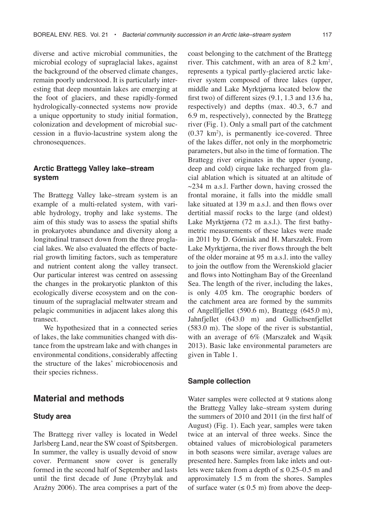diverse and active microbial communities, the microbial ecology of supraglacial lakes, against the background of the observed climate changes, remain poorly understood. It is particularly interesting that deep mountain lakes are emerging at the foot of glaciers, and these rapidly-formed hydrologically-connected systems now provide a unique opportunity to study initial formation, colonization and development of microbial succession in a fluvio-lacustrine system along the chronosequences.

### **Arctic Brattegg Valley lake–stream system**

The Brattegg Valley lake–stream system is an example of a multi-related system, with variable hydrology, trophy and lake systems. The aim of this study was to assess the spatial shifts in prokaryotes abundance and diversity along a longitudinal transect down from the three proglacial lakes. We also evaluated the effects of bacterial growth limiting factors, such as temperature and nutrient content along the valley transect. Our particular interest was centred on assessing the changes in the prokaryotic plankton of this ecologically diverse ecosystem and on the continuum of the supraglacial meltwater stream and pelagic communities in adjacent lakes along this transect.

We hypothesized that in a connected series of lakes, the lake communities changed with distance from the upstream lake and with changes in environmental conditions, considerably affecting the structure of the lakes' microbiocenosis and their species richness.

# **Material and methods**

#### **Study area**

The Brattegg river valley is located in Wedel Jarlsberg Land, near the SW coast of Spitsbergen. In summer, the valley is usually devoid of snow cover. Permanent snow cover is generally formed in the second half of September and lasts until the first decade of June (Przybylak and Araźny 2006). The area comprises a part of the coast belonging to the catchment of the Brattegg river. This catchment, with an area of  $8.2 \text{ km}^2$ , represents a typical partly-glaciered arctic lakeriver system composed of three lakes (upper, middle and Lake Myrktjørna located below the first two) of different sizes (9.1, 1.3 and 13.6 ha, respectively) and depths (max. 40.3, 6.7 and 6.9 m, respectively), connected by the Brattegg river (Fig. 1). Only a small part of the catchment  $(0.37 \text{ km}^2)$ , is permanently ice-covered. Three of the lakes differ, not only in the morphometric parameters, but also in the time of formation. The Brattegg river originates in the upper (young, deep and cold) cirque lake recharged from glacial ablation which is situated at an altitude of  $\sim$ 234 m a.s.l. Farther down, having crossed the frontal moraine, it falls into the middle small lake situated at 139 m a.s.l. and then flows over dertitial massif rocks to the large (and oldest) Lake Myrktjørna (72 m a.s.l.). The first bathymetric measurements of these lakes were made in 2011 by D. Górniak and H. Marszałek. From Lake Myrktjørna, the river flows through the belt of the older moraine at 95 m a.s.l. into the valley to join the outflow from the Werenskiold glacier and flows into Nottingham Bay of the Greenland Sea. The length of the river, including the lakes, is only 4.05 km. The orographic borders of the catchment area are formed by the summits of Angellfjellet (590.6 m), Brattegg (645.0 m), Jahnfjellet (643.0 m) and Gullichsenfjellet (583.0 m). The slope of the river is substantial, with an average of 6% (Marszałek and Wąsik 2013). Basic lake environmental parameters are given in Table 1.

### **Sample collection**

Water samples were collected at 9 stations along the Brattegg Valley lake–stream system during the summers of 2010 and 2011 (in the first half of August) (Fig. 1). Each year, samples were taken twice at an interval of three weeks. Since the obtained values of microbiological parameters in both seasons were similar, average values are presented here. Samples from lake inlets and outlets were taken from a depth of  $\leq 0.25 - 0.5$  m and approximately 1.5 m from the shores. Samples of surface water  $(\leq 0.5 \text{ m})$  from above the deep-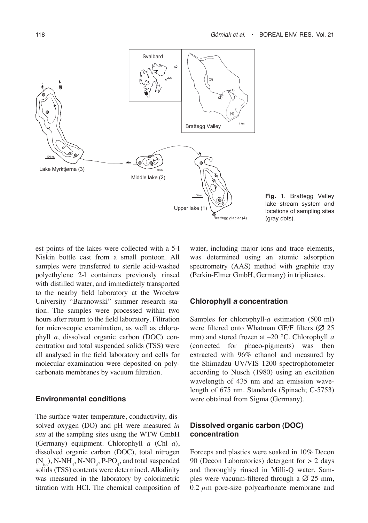

**Fig. 1**. Brattegg Valley lake–stream system and locations of sampling sites (gray dots).

est points of the lakes were collected with a 5-l Niskin bottle cast from a small pontoon. All samples were transferred to sterile acid-washed polyethylene 2-l containers previously rinsed with distilled water, and immediately transported to the nearby field laboratory at the Wrocław University "Baranowski" summer research station. The samples were processed within two hours after return to the field laboratory. Filtration for microscopic examination, as well as chlorophyll *a*, dissolved organic carbon (DOC) concentration and total suspended solids (TSS) were all analysed in the field laboratory and cells for molecular examination were deposited on polycarbonate membranes by vacuum filtration.

#### **Environmental conditions**

The surface water temperature, conductivity, dissolved oxygen (DO) and pH were measured *in situ* at the sampling sites using the WTW GmbH (Germany) equipment. Chlorophyll *a* (Chl *a*), dissolved organic carbon (DOC), total nitrogen  $(N_{\text{tot}})$ , N-NH<sub>4</sub>, N-NO<sub>3</sub>, P-PO<sub>4</sub>, and total suspended solids (TSS) contents were determined. Alkalinity was measured in the laboratory by colorimetric titration with HCl. The chemical composition of

water, including major ions and trace elements, was determined using an atomic adsorption spectrometry (AAS) method with graphite tray (Perkin-Elmer GmbH, Germany) in triplicates.

### **Chlorophyll** *a* **concentration**

Samples for chlorophyll-*a* estimation (500 ml) were filtered onto Whatman GF/F filters  $(Ø 25)$ mm) and stored frozen at –20 °C. Chlorophyll *a*  (corrected for phaeo-pigments) was then extracted with 96% ethanol and measured by the Shimadzu UV/VIS 1200 spectrophotometer according to Nusch (1980) using an excitation wavelength of 435 nm and an emission wavelength of 675 nm. Standards (Spinach; C-5753) were obtained from Sigma (Germany).

### **Dissolved organic carbon (DOC) concentration**

Forceps and plastics were soaked in 10% Decon 90 (Decon Laboratories) detergent for > 2 days and thoroughly rinsed in Milli-Q water. Samples were vacuum-filtered through a  $\varnothing$  25 mm,  $0.2 \mu$ m pore-size polycarbonate membrane and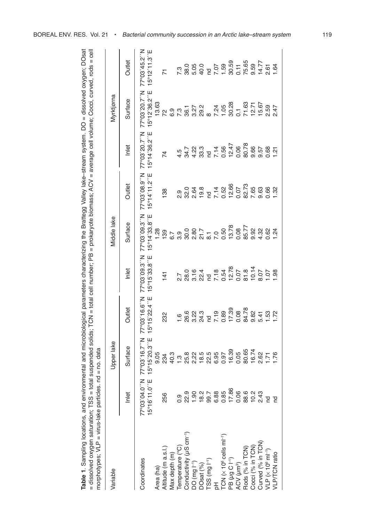| 5<br>I<br>$\frac{1}{2}$                                        | $1000.7005 = C$ e<br>ה ההה                       |                                    |
|----------------------------------------------------------------|--------------------------------------------------|------------------------------------|
| $l$ ley lake-stream system. $DO = di$ s                        | - ^ ^ ^ ^ - 1<br>$\sim$ lleb edge average cell v |                                    |
| Districts<br>Districts<br>י האמוני ב                           | ה הוה היה ה'                                     |                                    |
| haractorizing the Brattong<br>וכן אוישוועוועוועוועווען נוס     | solids; TCN = total cell number; PB = prokary    |                                    |
| i<br>5<br>j<br>$\overline{ }$<br>ואמו ומיו היימ<br>)<br>5<br>Ž | ं<br>र                                           | π<br>π                             |
| nmental ar<br>¢<br>ׇ֚֘                                         | n<br>Et<br>j<br>ین<br>= "<br>¢<br>ļ<br>ļ         | $\text{nod} = \text{ho}$<br>j<br>Ó |
| í<br>Se se                                                     | Š                                                | ſ<br>j<br>l                        |
|                                                                |                                                  |                                    |

| Table 1. Sampling locations, and environmental and microbiological parameters characterizing the Brattegg Valley lake-stream system. DO = dissolved oxygen; DOsat<br>= dissolved oxygen saturation; TSS = total suspended solids; TCN = total cell number; PB = prokaryote biomass; ACV = average cell volume; Cocci, curved, rods = cell<br>morphotypes; VLP = virus-lake particles. nd = no. data |                                            |                              |                                                 |                              |                               |                              |                              |                                          |                              |
|-----------------------------------------------------------------------------------------------------------------------------------------------------------------------------------------------------------------------------------------------------------------------------------------------------------------------------------------------------------------------------------------------------|--------------------------------------------|------------------------------|-------------------------------------------------|------------------------------|-------------------------------|------------------------------|------------------------------|------------------------------------------|------------------------------|
| Variable                                                                                                                                                                                                                                                                                                                                                                                            |                                            | Upper lake                   |                                                 |                              | Middle lake                   |                              |                              | Myrktjørna                               |                              |
|                                                                                                                                                                                                                                                                                                                                                                                                     | Inlet                                      | Surface                      | Outlet                                          | Inlet                        | Surface                       | Outlet                       | Inlet                        | Surface                                  | Outlet                       |
| Coordinates                                                                                                                                                                                                                                                                                                                                                                                         | N., 016, 80 <sub>°</sub> Z<br>15°16'11.0"E | 15°15'20.3"E<br>77°03′16.7″N | 15°15'22.4"E<br>77°03'16.6"N                    | 15°15'33.8"E<br>77°03'09.8"N | 15°14'33.8"E<br>77°03'09.3''N | 15°14'11.2"E<br>77°03'08.9"N | 15°14'36.2"E<br>77°03'20.7"N | I5°12'36.2"E<br>77°03'20.7"N             | 15°12'11.3"E<br>77°03'45.2"N |
|                                                                                                                                                                                                                                                                                                                                                                                                     |                                            | 9.05                         |                                                 |                              | $\frac{88}{1}$                |                              |                              | 13.63                                    |                              |
| Area (ha)<br>Altitude (m a.s.l.)                                                                                                                                                                                                                                                                                                                                                                    | 256                                        | 234                          | 232                                             | 141                          | 139                           | 138                          | 74                           |                                          | $\overline{K}$               |
| Max depth (m)                                                                                                                                                                                                                                                                                                                                                                                       |                                            |                              |                                                 |                              |                               |                              |                              |                                          |                              |
| Temperature (°C)                                                                                                                                                                                                                                                                                                                                                                                    |                                            |                              | $\frac{6}{1}$                                   |                              |                               | 0.9                          | 4.5                          |                                          |                              |
| Conductivity (µS cm <sup>-1)</sup>                                                                                                                                                                                                                                                                                                                                                                  | 22.9                                       |                              |                                                 |                              |                               |                              |                              | 2000 1000<br>2000 2000<br>2000 2000      |                              |
|                                                                                                                                                                                                                                                                                                                                                                                                     |                                            |                              |                                                 |                              |                               |                              |                              |                                          |                              |
|                                                                                                                                                                                                                                                                                                                                                                                                     | $1.90$<br>$18.2$<br>$18.7$                 |                              |                                                 |                              |                               |                              |                              |                                          |                              |
| DO (mg l <sup>-1</sup> )<br>DOsat (%)<br>TSS (mg l <sup>-1</sup> )<br>pH                                                                                                                                                                                                                                                                                                                            |                                            |                              |                                                 |                              |                               |                              |                              |                                          |                              |
|                                                                                                                                                                                                                                                                                                                                                                                                     |                                            |                              |                                                 |                              |                               |                              |                              |                                          |                              |
| $TCN$ ( $\times$ 10 <sup>6</sup> cells ml <sup>-1</sup> )                                                                                                                                                                                                                                                                                                                                           | 885<br>0.85<br>0.7<br>0.9                  |                              | 6<br>623 - 03<br>623 - 03<br>63 - 03<br>63 - 03 |                              |                               |                              |                              | 7.24<br>1.05<br>0.1 63<br>12.71<br>15.67 |                              |
| PB (µg C I <sup>-1</sup> )<br>ACV (µm <sup>3</sup> )                                                                                                                                                                                                                                                                                                                                                |                                            |                              |                                                 |                              |                               |                              |                              |                                          |                              |
|                                                                                                                                                                                                                                                                                                                                                                                                     |                                            |                              |                                                 |                              |                               |                              |                              |                                          |                              |
| Rods (% in TCN)                                                                                                                                                                                                                                                                                                                                                                                     | 88.0<br>10.2<br>2.43                       | 0.05<br>80.65                | 84.78                                           |                              |                               |                              |                              |                                          |                              |
| Cocci (% in TCN)                                                                                                                                                                                                                                                                                                                                                                                    |                                            | 16.74                        | 9.82                                            |                              | 9.92                          |                              | 9.66                         |                                          |                              |
| Curved (% in TCN)<br>VLP (x 10 <sup>6</sup> ml <sup>-1</sup> )                                                                                                                                                                                                                                                                                                                                      |                                            |                              |                                                 |                              |                               |                              |                              |                                          |                              |
|                                                                                                                                                                                                                                                                                                                                                                                                     | $\overline{E}$                             | 262<br>171<br>176            | 5.41<br>1.53<br>1.72                            | 8.07<br>1.07<br>1.98         | $4.32$<br>0.62<br>1.24        | 88<br>0.68<br>1.32           | 9.57<br>0.68<br>1.21         | 2.59<br>2.47                             | $2.61$<br>1.64               |
| VLP/TCN ratio                                                                                                                                                                                                                                                                                                                                                                                       | pp                                         |                              |                                                 |                              |                               |                              |                              |                                          |                              |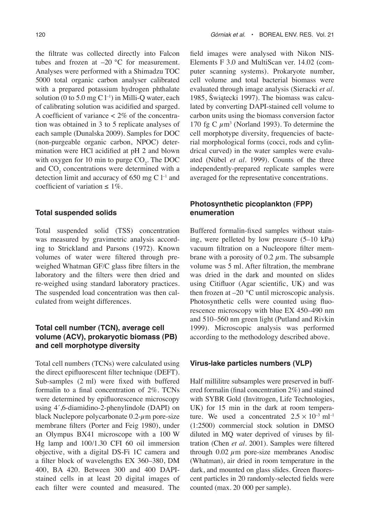the filtrate was collected directly into Falcon tubes and frozen at  $-20$  °C for measurement. Analyses were performed with a Shimadzu TOC 5000 total organic carbon analyser calibrated with a prepared potassium hydrogen phthalate solution (0 to 5.0 mg C  $1^{-1}$ ) in Milli-Q water, each of calibrating solution was acidified and sparged. A coefficient of variance < 2% of the concentration was obtained in 3 to 5 replicate analyses of each sample (Dunalska 2009). Samples for DOC (non-purgeable organic carbon, NPOC) determination were HCl acidified at pH 2 and blown with oxygen for 10 min to purge  $CO<sub>2</sub>$ . The DOC and  $CO_2$  concentrations were determined with a detection limit and accuracy of 650 mg  $C$  l<sup>-1</sup> and coefficient of variation  $\leq 1\%$ .

### **Total suspended solids**

Total suspended solid (TSS) concentration was measured by gravimetric analysis according to Strickland and Parsons (1972). Known volumes of water were filtered through preweighed Whatman GF/C glass fibre filters in the laboratory and the filters were then dried and re-weighed using standard laboratory practices. The suspended load concentration was then calculated from weight differences.

### **Total cell number (TCN), average cell volume (ACV), prokaryotic biomass (PB) and cell morphotype diversity**

Total cell numbers (TCNs) were calculated using the direct epifluorescent filter technique (DEFT). Sub-samples (2 ml) were fixed with buffered formalin to a final concentration of 2%. TCNs were determined by epifluorescence microscopy using 4´,6-diamidino-2-phenylindole (DAPI) on black Nuclepore polycarbonate 0.2-*µ*m pore-size membrane filters (Porter and Feig 1980), under an Olympus BX41 microscope with a 100 W Hg lamp and 100/1.30 CFI 60 oil immersion objective, with a digital DS-Fi 1C camera and a filter block of wavelengths EX 360–380, DM 400, BA 420. Between 300 and 400 DAPIstained cells in at least 20 digital images of each filter were counted and measured. The

field images were analysed with Nikon NIS-Elements F 3.0 and MultiScan ver. 14.02 (computer scanning systems). Prokaryote number, cell volume and total bacterial biomass were evaluated through image analysis (Sieracki *et al.* 1985, Świątecki 1997). The biomass was calculated by converting DAPI-stained cell volume to carbon units using the biomass conversion factor 170 fg C  $\mu$ m<sup>3</sup> (Norland 1993). To determine the cell morphotype diversity, frequencies of bacterial morphological forms (cocci, rods and cylindrical curved) in the water samples were evaluated (Nübel *et al.* 1999). Counts of the three independently-prepared replicate samples were averaged for the representative concentrations.

### **Photosynthetic picoplankton (FPP) enumeration**

Buffered formalin-fixed samples without staining, were pelleted by low pressure (5–10 kPa) vacuum filtration on a Nucleopore filter membrane with a porosity of 0.2 *µ*m. The subsample volume was 5 ml. After filtration, the membrane was dried in the dark and mounted on slides using Citifluor (Agar scientific, UK) and was then frozen at –20 °C until microscopic analysis. Photosynthetic cells were counted using fluorescence microscopy with blue EX 450–490 nm and 510–560 nm green light (Putland and Rivkin 1999). Microscopic analysis was performed according to the methodology described above.

#### **Virus-lake particles numbers (VLP)**

Half millilitre subsamples were preserved in buffered formalin (final concentration 2%) and stained with SYBR Gold (Invitrogen, Life Technologies, UK) for 15 min in the dark at room temperature. We used a concentrated  $2.5 \times 10^{-3}$  ml<sup>-1</sup> (1:2500) commercial stock solution in DMSO diluted in MQ water deprived of viruses by filtration (Chen *et al.* 2001). Samples were filtered through 0.02 *µ*m pore-size membranes Anodisc (Whatman), air dried in room temperature in the dark, and mounted on glass slides. Green fluorescent particles in 20 randomly-selected fields were counted (max. 20 000 per sample).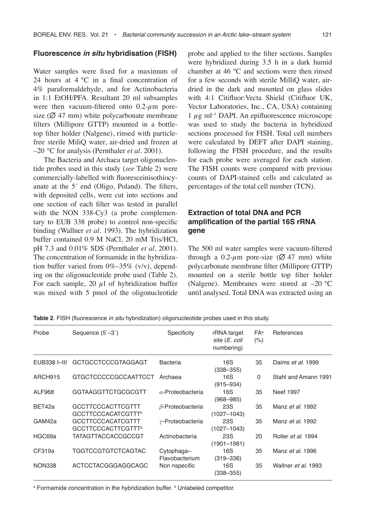### **Fluorescence** *in situ* **hybridisation (FISH)**

Water samples were fixed for a maximum of 24 hours at 4 °C in a final concentration of 4% paraformaldehyde, and for Actinobacteria in 1:1 EtOH/PFA. Resultant 20 ml subsamples were then vacuum-filtered onto 0.2-*µ*m poresize ( $\emptyset$  47 mm) white polycarbonate membrane filters (Millipore GTTP) mounted in a bottletop filter holder (Nalgene), rinsed with particlefree sterile MiliQ water, air-dried and frozen at –20 °C for analysis (Pernthaler *et al.* 2001).

The Bacteria and Archaea target oligonucleotide probes used in this study (*see* Table 2) were commercially-labelled with fluoresceinisothiocyanate at the 5´ end (Oligo, Poland). The filters, with deposited cells, were cut into sections and one section of each filter was tested in parallel with the NON 338-Cy3 (a probe complementary to EUB 338 probe) to control non-specific binding (Wallner *et al.* 1993). The hybridization buffer contained 0.9 M NaCl, 20 mM Tris/HCl, pH 7.3 and 0.01% SDS (Pernthaler *et al.* 2001). The concentration of formamide in the hybridization buffer varied from 0%–35% (v/v), depending on the oligonucleotide probe used (Table 2). For each sample, 20 *µ*l of hybridization buffer was mixed with 5 pmol of the oligonucleotide probe and applied to the filter sections. Samples were hybridized during 3.5 h in a dark humid chamber at 46 °C and sections were then rinsed for a few seconds with sterile MilliQ water, airdried in the dark and mounted on glass slides with 4:1 Citifluor: Vecta Shield (Citifluor UK, Vector Laboratories, Inc., CA, USA) containing 1 *µ*g ml–1 DAPI. An epifluorescence microscope was used to study the bacteria in hybridized sections processed for FISH. Total cell numbers were calculated by DEFT after DAPI staining, following the FISH procedure, and the results for each probe were averaged for each station. The FISH counts were compared with previous counts of DAPI-stained cells and calculated as percentages of the total cell number (TCN).

### **Extraction of total DNA and PCR amplification of the partial 16S rRNA gene**

The 500 ml water samples were vacuum-filtered through a  $0.2$ - $\mu$ m pore-size ( $\varnothing$  47 mm) white polycarbonate membrane filter (Millipore GTTP) mounted on a sterile bottle top filter holder (Nalgene). Membranes were stored at –20 °C until analysed. Total DNA was extracted using an

Probe Sequence (5<sup>'-3'</sup>) Specificity rRNA target FA<sup>a</sup> References site (*E. coli* (%) numbering) EUB338 I–III GCTGCCTCCCGTAGGAGT Bacteria 16S 35 Daims *et al*. 1999 (338–355)<br>ARCH915 GTGCTCCCCCGCCAATTCCT Archaea 16S ARCH915 GTGCTCCCCCGCCAATTCCT Archaea 16S 0 Stahl and Amann 1991 (915–934) ALF968 GGTAAGGTTCTGCGCGTT *α*-Proteobacteria 16S 35 Neef 1997 (968–985) BET42a GCCTTCCCACTTCGTTT *β*-Proteobacteria 23S 35 Manz *et al*. 1992 **GCCTTCCCACATCGTTT<sup>b</sup>**  (1027–1043) GAM42a GCCTTCCCACATCGTTT *γ*-Proteobacteria 23S 35 Manz *et al*. 1992 GCCTTCCCACTTCGTTT<sup>b</sup> (1027–1043) HGC69a TATAGTTACCACCGCCGT Actinobacteria 23S 20 Roller *et al*. 1994 (1901–1981) CF319a TGGTCCGTGTCTCAGTAC Cytophaga– 16S 35 Manz *et al*. 1996 Flavobacterium (319–336)<br>NON338 ACTCCTACGGGAGGCAGC Non nspecific 16S NON338 ACTCCTACGGGAGGCAGC Non nspecific 16S 35 Wallner *et al*. 1993 (338–355)

**Table 2**. FISH (fluorescence *in situ* hybridization) oligonucleotide probes used in this study.

<sup>a</sup> Formamide concentration in the hybridization buffer. <sup>b</sup> Unlabeled competitor.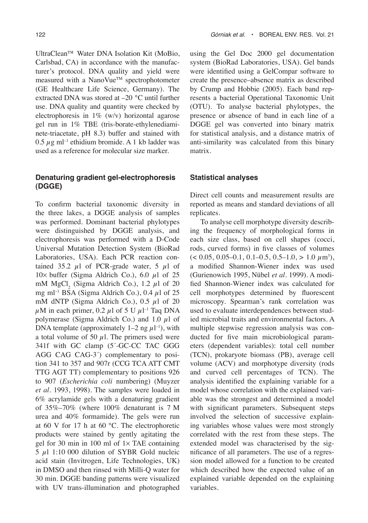UltraClean™ Water DNA Isolation Kit (MoBio, Carlsbad, CA) in accordance with the manufacturer's protocol. DNA quality and yield were measured with a NanoVue™ spectrophotometer (GE Healthcare Life Science, Germany). The extracted DNA was stored at –20 °C until further use. DNA quality and quantity were checked by electrophoresis in  $1\%$  (w/v) horizontal agarose gel run in 1% TBE (tris-borate-ethylenediaminete-triacetate, pH 8.3) buffer and stained with  $0.5 \ \mu$ g ml<sup>-1</sup> ethidium bromide. A 1 kb ladder was used as a reference for molecular size marker.

### **Denaturing gradient gel-electrophoresis (DGGE)**

To confirm bacterial taxonomic diversity in the three lakes, a DGGE analysis of samples was performed. Dominant bacterial phylotypes were distinguished by DGGE analysis, and electrophoresis was performed with a D-Code Universal Mutation Detection System (BioRad Laboratories, USA). Each PCR reaction contained  $35.2$   $\mu$ l of PCR-grade water,  $5 \mu$ l of 10 $\times$  buffer (Sigma Aldrich Co.), 6.0  $\mu$ 1 of 25 mM MgCl<sub>2</sub> (Sigma Aldrich Co.), 1.2 *μ*l of 20 mg ml<sup>-1</sup> BSA (Sigma Aldrich Co.), 0.4  $\mu$ l of 25 mM dNTP (Sigma Aldrich Co.), 0.5 *µ*l of 20  $\mu$ M in each primer, 0.2  $\mu$ l of 5 U  $\mu$ l<sup>-1</sup> Taq DNA polymerase (Sigma Aldrich Co.) and 1.0 *µ*l of DNA template (approximately  $1-2$  ng  $\mu$ 1<sup>-1</sup>), with a total volume of 50  $\mu$ l. The primers used were 341f with GC clamp (5´-GC-CC TAC GGG AGG CAG CAG-3´) complementary to position 341 to 357 and 907r (CCG TCA ATT CMT TTG AGT TT) complementary to positions 926 to 907 (*Escherichia coli* numbering) (Muyzer *et al*. 1993, 1998). The samples were loaded in 6% acrylamide gels with a denaturing gradient of 35%–70% (where 100% denaturant is 7 M urea and 40% formamide). The gels were run at 60 V for 17 h at 60 °C. The electrophoretic products were stained by gently agitating the gel for 30 min in 100 ml of  $1 \times$  TAE containing 5 *µ*l 1:10 000 dilution of SYBR Gold nucleic acid stain (Invitrogen, Life Technologies, UK) in DMSO and then rinsed with Milli-Q water for 30 min. DGGE banding patterns were visualized with UV trans-illumination and photographed

using the Gel Doc 2000 gel documentation system (BioRad Laboratories, USA). Gel bands were identified using a GelCompar software to create the presence–absence matrix as described by Crump and Hobbie (2005). Each band represents a bacterial Operational Taxonomic Unit (OTU). To analyse bacterial phylotypes, the presence or absence of band in each line of a DGGE gel was converted into binary matrix for statistical analysis, and a distance matrix of anti-similarity was calculated from this binary matrix.

### **Statistical analyses**

Direct cell counts and measurement results are reported as means and standard deviations of all replicates.

To analyse cell morphotype diversity describing the frequency of morphological forms in each size class, based on cell shapes (cocci, rods, curved forms) in five classes of volumes (< 0.05, 0.05–0.1, 0.1–0.5, 0.5–1.0, > 1.0 *µ*m3 ), a modified Shannon-Wiener index was used (Gurienowich 1995, Nübel *et al.* 1999). A modified Shannon-Wiener index was calculated for cell morphotypes determined by fluorescent microscopy. Spearman's rank correlation was used to evaluate interdependences between studied microbial traits and environmental factors. A multiple stepwise regression analysis was conducted for five main microbiological parameters (dependent variables): total cell number (TCN), prokaryote biomass (PB), average cell volume (ACV) and morphotype diversity (rods and curved cell percentages of TCN). The analysis identified the explaining variable for a model whose correlation with the explained variable was the strongest and determined a model with significant parameters. Subsequent steps involved the selection of successive explaining variables whose values were most strongly correlated with the rest from these steps. The extended model was characterised by the significance of all parameters. The use of a regression model allowed for a function to be created which described how the expected value of an explained variable depended on the explaining variables.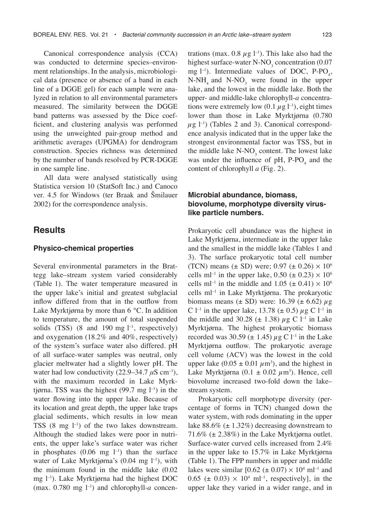Canonical correspondence analysis (CCA) was conducted to determine species–environment relationships. In the analysis, microbiological data (presence or absence of a band in each line of a DGGE gel) for each sample were analyzed in relation to all environmental parameters measured. The similarity between the DGGE band patterns was assessed by the Dice coefficient, and clustering analysis was performed using the unweighted pair-group method and arithmetic averages (UPGMA) for dendrogram construction. Species richness was determined by the number of bands resolved by PCR-DGGE in one sample line.

All data were analysed statistically using Statistica version 10 (StatSoft Inc.) and Canoco ver. 4.5 for Windows (ter Braak and Šmilauer 2002) for the correspondence analysis.

### **Results**

#### **Physico-chemical properties**

Several environmental parameters in the Brattegg lake–stream system varied considerably (Table 1). The water temperature measured in the upper lake's initial and greatest subglacial inflow differed from that in the outflow from Lake Myrktjørna by more than 6 °C. In addition to temperature, the amount of total suspended solids (TSS)  $(8 \text{ and } 190 \text{ mg } l^{-1}$ , respectively) and oxygenation (18.2% and 40%, respectively) of the system's surface water also differed. pH of all surface-water samples was neutral, only glacier meltwater had a slightly lower pH. The water had low conductivity (22.9–34.7 *μ*S cm<sup>-1</sup>), with the maximum recorded in Lake Myrktjørna. TSS was the highest  $(99.7 \text{ mg } l^{-1})$  in the water flowing into the upper lake. Because of its location and great depth, the upper lake traps glacial sediments, which results in low mean TSS  $(8 \text{ mg } l^{-1})$  of the two lakes downstream. Although the studied lakes were poor in nutrients, the upper lake's surface water was richer in phosphates  $(0.06 \text{ mg } l^{-1})$  than the surface water of Lake Myrktjørna's  $(0.04 \text{ mg } l^{-1})$ , with the minimum found in the middle lake (0.02 mg l–1). Lake Myrktjørna had the highest DOC (max.  $0.780$  mg  $l^{-1}$ ) and chlorophyll-*a* concentrations (max.  $0.8 \mu g$  l<sup>-1</sup>). This lake also had the highest surface-water N-NO<sub>3</sub> concentration  $(0.07)$ mg  $l^{-1}$ ). Intermediate values of DOC, P-PO<sub>4</sub>,  $N-NH_4$  and  $N-NO_3$  were found in the upper lake, and the lowest in the middle lake. Both the upper- and middle-lake chlorophyll-*a* concentrations were extremely low  $(0.1 \mu g l^{-1})$ , eight times lower than those in Lake Myrktjørna (0.780  $\mu$ g l<sup>-1</sup>) (Tables 2 and 3). Canonical correspondence analysis indicated that in the upper lake the strongest environmental factor was TSS, but in the middle lake  $N-NO_3$  content. The lowest lake was under the influence of  $pH$ , P-PO<sub>4</sub> and the content of chlorophyll *a* (Fig. 2).

### **Microbial abundance, biomass, biovolume, morphotype diversity viruslike particle numbers.**

Prokaryotic cell abundance was the highest in Lake Myrktjørna, intermediate in the upper lake and the smallest in the middle lake (Tables 1 and 3). The surface prokaryotic total cell number (TCN) means ( $\pm$  SD) were; 0.97 ( $\pm$  0.26)  $\times$  10<sup>6</sup> cells ml<sup>-1</sup> in the upper lake, 0.50 ( $\pm$  0.23)  $\times$  10<sup>6</sup> cells ml<sup>-1</sup> in the middle and 1.05 ( $\pm$  0.41)  $\times$  10<sup>6</sup> cells ml–1 in Lake Myrktjørna. The prokaryotic biomass means  $(\pm SD)$  were: 16.39  $(\pm 6.62)$   $\mu$ g C l<sup>-1</sup> in the upper lake, 13.78 ( $\pm$  0.5)  $\mu$ g C l<sup>-1</sup> in the middle and 30.28 ( $\pm$  1.38)  $\mu$ g C l<sup>-1</sup> in Lake Myrktjørna. The highest prokaryotic biomass recorded was 30.59 ( $\pm$  1.45)  $\mu$ g C l<sup>-1</sup> in the Lake Myrktjørna outflow. The prokaryotic average cell volume (ACV) was the lowest in the cold upper lake  $(0.05 \pm 0.01 \ \mu \text{m}^3)$ , and the highest in Lake Myrktjørna (0.1 ± 0.02 *µ*m3 ). Hence, cell biovolume increased two-fold down the lake– stream system.

Prokaryotic cell morphotype diversity (percentage of forms in TCN) changed down the water system, with rods dominating in the upper lake  $88.6\%$  ( $\pm 1.32\%$ ) decreasing downstream to 71.6%  $(\pm 2.38\%)$  in the Lake Myrktjørna outlet. Surface-water curved cells increased from 2.4% in the upper lake to 15.7% in Lake Myrktjørna (Table 1). The FPP numbers in upper and middle lakes were similar  $[0.62 \ (\pm 0.07) \times 10^4 \ \text{ml}^{-1}$  and  $0.65 \ (\pm 0.03) \times 10^4 \ \text{ml}^{-1}$ , respectively], in the upper lake they varied in a wider range, and in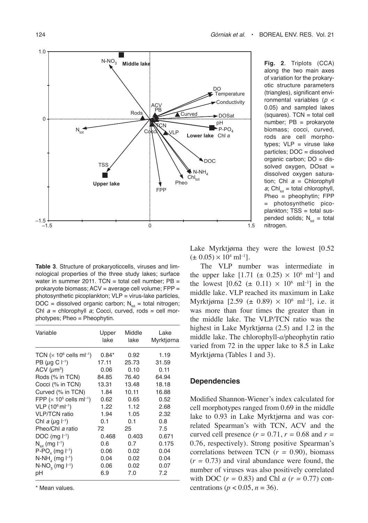

**Fig. 2**. Triplots (CCA) along the two main axes of variation for the prokaryotic structure parameters (triangles), significant environmental variables (*p* < 0.05) and sampled lakes  $(squares)$ . TCN = total cell number; PB = prokaryote biomass; cocci, curved, rods are cell morphotypes;  $VLP =$  viruse lake particles; DOC = dissolved organic carbon; DO = dissolved oxygen, DOsat = dissolved oxygen saturation; Chl *a* = Chlorophyll  $a$ ; Chl<sub>tot</sub> = total chlorophyll, Pheo = pheophytin; FPP = photosynthetic picoplankton; TSS = total suspended solids;  $N_{tot}$  = total nitrogen.

**Table 3**. Structure of prokaryoticcells, viruses and limnological properties of the three study lakes; surface water in summer 2011. TCN = total cell number;  $PB =$ prokaryote biomass; ACV = average cell volume; FPP = photosynthetic picoplankton; VLP = virus-lake particles, DOC = dissolved organic carbon;  $N_{tot}$  = total nitrogen; Chl *a* = chlorophyll *a*; Cocci, curved, rods = cell morphotypes; Pheo = Pheophytin.

| Variable                               | Upper<br>lake | Middle<br>lake | Lake<br>Myrktjørna |
|----------------------------------------|---------------|----------------|--------------------|
| TCN $(x 10^6 \text{ cells ml}^{-1})$   | $0.84*$       | 0.92           | 1.19               |
| PB ( $\mu$ q C $\vdash$ <sup>1</sup> ) | 17.11         | 25.73          | 31.59              |
| ACV $(\mu m^3)$                        | 0.06          | 0.10           | 0.11               |
| Rods (% in TCN)                        | 84.85         | 76.40          | 64.94              |
| Cocci (% in TCN)                       | 13.31         | 13.48          | 18.18              |
| Curved (% in TCN)                      | 1.84          | 10.11          | 16.88              |
| FPP $(x 105$ cells ml <sup>-1</sup> )  | 0.62          | 0.65           | 0.52               |
| $VLP$ (10 $^{6}$ ml <sup>-1</sup> )    | 1.22          | 1.12           | 2.68               |
| <b>VLP/TCN</b> ratio                   | 1.94          | 1.05           | 2.32               |
| Chl a $(\mu q \mid^{-1})$              | 0.1           | 0.1            | 0.8                |
| Pheo/Chl a ratio                       | 72            | 25             | 7.5                |
| $DOC$ (mg $I^{-1}$ )                   | 0.468         | 0.403          | 0.671              |
| $N_{\text{tot}}$ (mg $I^{-1}$ )        | 0.6           | 0.7            | 0.175              |
| $P-PO4$ (mg $I-1$ )                    | 0.06          | 0.02           | 0.04               |
| $N-NH4$ (mg $\vert^{-1}$ )             | 0.04          | 0.02           | 0.04               |
| $N-NO3$ (mg $l^{-1}$ )                 | 0.06          | 0.02           | 0.07               |
| рH                                     | 6.9           | 7.0            | 7.2                |

\* Mean values.

Lake Myrktjørna they were the lowest [0.52]  $(\pm 0.05) \times 10^4$  ml<sup>-1</sup>].

The VLP number was intermediate in the upper lake  $[1.71 \ (\pm 0.25) \times 10^6 \text{ ml-1}]$  and the lowest  $[0.62 \ (\pm 0.11) \times 10^6 \text{ ml}^{-1}]$  in the middle lake. VLP reached its maximum in Lake Myrktjørna [2.59 ( $\pm$  0.89)  $\times$  10<sup>6</sup> ml<sup>-1</sup>], i.e. it was more than four times the greater than in the middle lake. The VLP/TCN ratio was the highest in Lake Myrktjørna (2.5) and 1.2 in the middle lake. The chlorophyll-*a*/pheophytin ratio varied from 72 in the upper lake to 8.5 in Lake Myrktjørna (Tables 1 and 3).

### **Dependencies**

Modified Shannon-Wiener's index calculated for cell morphotypes ranged from 0.69 in the middle lake to 0.93 in Lake Myrktjørna and was correlated Spearman's with TCN, ACV and the curved cell presence  $(r = 0.71, r = 0.68$  and  $r =$ 0.76, respectively). Strong positive Spearman's correlations between TCN (*r =* 0.90), biomass  $(r = 0.73)$  and viral abundance were found, the number of viruses was also positively correlated with DOC (*r =* 0.83) and Chl *a* (*r =* 0.77) concentrations ( $p < 0.05$ ,  $n = 36$ ).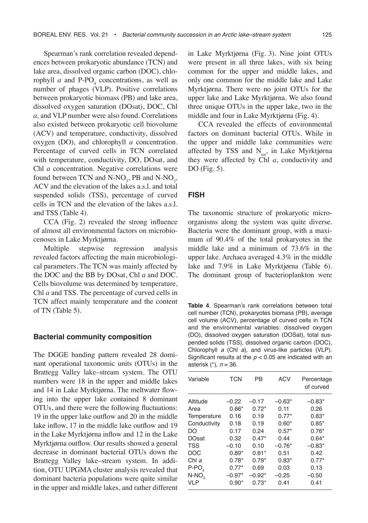Spearman's rank correlation revealed dependences between prokaryotic abundance (TCN) and lake area, dissolved organic carbon (DOC), chlorophyll  $a$  and  $\text{P-PO}_4$  concentrations, as well as number of phages (VLP). Positive correlations between prokaryotic biomass (PB) and lake area, dissolved oxygen saturation (DOsat), DOC, Chl *a,* and VLP number were also found. Correlations also existed between prokaryotic cell biovolume (ACV) and temperature, conductivity, dissolved oxygen (DO), and chlorophyll *a* concentration. Percentage of curved cells in TCN correlated with temperature, conductivity, DO, DOsat, and Chl *a* concentration. Negative correlations were found between TCN and  $N\text{-}NO_3$ , PB and  $N\text{-}NO_3$ , ACV and the elevation of the lakes a.s.l. and total suspended solids (TSS), percentage of curved cells in TCN and the elevation of the lakes a.s.l. and TSS (Table 4).

CCA (Fig. 2) revealed the strong influence of almost all environmental factors on microbiocenoses in Lake Myrktjørna.

Multiple stepwise regression analysis revealed factors affecting the main microbiological parameters. The TCN was mainly affected by the DOC and the BB by DOsat, Chl *a* and DOC. Cells biovolume was determined by temperature, Chl *a* and TSS. The percentage of curved cells in TCN affect mainly temperature and the content of TN (Table 5).

#### **Bacterial community composition**

The DGGE banding pattern revealed 28 dominant operational taxonomic units (OTUs) in the Brattegg Valley lake–stream system. The OTU numbers were 18 in the upper and middle lakes and 14 in Lake Myrktjørna. The meltwater flowing into the upper lake contained 8 dominant OTUs, and there were the following fluctuations: 19 in the upper lake outflow and 20 in the middle lake inflow, 17 in the middle lake outflow and 19 in the Lake Myrktjørna inflow and 12 in the Lake Myrktjørna outflow. Our results showed a general decrease in dominant bacterial OTUs down the Brattegg Valley lake–stream system. In addition, OTU UPGMA cluster analysis revealed that dominant bacteria populations were quite similar in the upper and middle lakes, and rather different

in Lake Myrktjørna (Fig. 3). Nine joint OTUs were present in all three lakes, with six being common for the upper and middle lakes, and only one common for the middle lake and Lake Myrktjørna. There were no joint OTUs for the upper lake and Lake Myrktjørna. We also found three unique OTUs in the upper lake, two in the middle and four in Lake Myrktjørna (Fig. 4).

CCA revealed the effects of environmental factors on dominant bacterial OTUs. While in the upper and middle lake communities were affected by TSS and  $N_{tot}$ , in Lake Myrktjørna they were affected by Chl *a*, conductivity and DO (Fig. 5).

#### **FISH**

The taxonomic structure of prokaryotic microorganisms along the system was quite diverse. Bacteria were the dominant group, with a maximum of 90.4% of the total prokaryotes in the middle lake and a minimum of 73.6% in the upper lake. Archaea averaged 4.3% in the middle lake and 7.9% in Lake Myrktjørna (Table 6). The dominant group of bacterioplankton were

**Table 4**. Spearman's rank correlations between total cell number (TCN), prokaryotes biomass (PB), average cell volume (ACV), percentage of curved cells in TCN and the environmental variables: dissolved oxygen (DO), dissolved oxygen saturation (DOSat), total suspended solids (TSS), dissolved organic carbon (DOC), Chlorophyll *a* (Chl *a*), and virus-like particles (VLP). Significant results at the *p* < 0.05 are indicated with an asterisk (\*), *n* = 36.

| Variable     | <b>TCN</b> | <b>PB</b> | <b>ACV</b> | Percentage<br>of curved |
|--------------|------------|-----------|------------|-------------------------|
| Altitude     | -0.22      | $-0.17$   | $-0.63*$   | $-0.83*$                |
| Area         | $0.66*$    | $0.72*$   | 0.11       | 0.26                    |
| Temperature  | 0.16       | 0.19      | $0.77*$    | $0.83*$                 |
| Conductivity | 0.18       | 0.19      | $0.60*$    | $0.85*$                 |
| DO           | 0.17       | 0.24      | $0.57*$    | $0.76*$                 |
| <b>DOsat</b> | 0.32       | $0.47*$   | 0.44       | $0.64*$                 |
| <b>TSS</b>   | $-0.10$    | 0.10      | $-0.76*$   | $-0.83*$                |
| <b>DOC</b>   | $0.89*$    | $0.81*$   | 0.51       | 0.42                    |
| Chl $a$      | $0.78*$    | $0.79*$   | $0.83*$    | $0.77*$                 |
| $P-PO4$      | $0.77*$    | 0.69      | 0.03       | 0.13                    |
| $N-NO2$      | $-0.97*$   | $-0.92*$  | $-0.25$    | $-0.50$                 |
| <b>VLP</b>   | $0.90*$    | $0.73*$   | 0.41       | 0.41                    |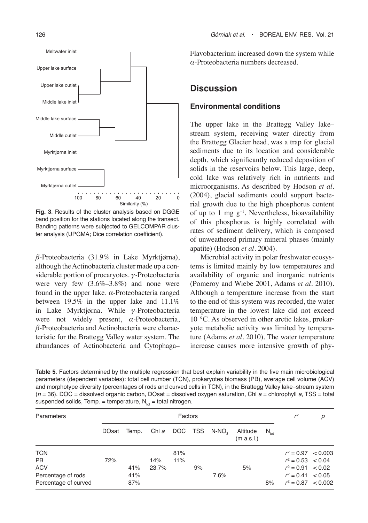

**Fig. 3**. Results of the cluster analysis based on DGGE band position for the stations located along the transect. Banding patterns were subjected to GELCOMPAR cluster analysis (UPGMA; Dice correlation coefficient).

*β-*Proteobacteria (31.9% in Lake Myrktjørna), although the Actinobacteria cluster made up a considerable portion of procaryotes. *γ-*Proteobacteria were very few  $(3.6\% - 3.8\%)$  and none were found in the upper lake. *α-*Proteobacteria ranged between 19.5% in the upper lake and 11.1% in Lake Myrktjørna. While *γ-*Proteobacteria were not widely present, *α-*Proteobacteria, *β-*Proteobacteria and Actinobacteria were characteristic for the Brattegg Valley water system. The abundances of Actinobacteria and Cytophaga–

Flavobacterium increased down the system while *α-*Proteobacteria numbers decreased.

## **Discussion**

### **Environmental conditions**

The upper lake in the Brattegg Valley lake– stream system, receiving water directly from the Brattegg Glacier head, was a trap for glacial sediments due to its location and considerable depth, which significantly reduced deposition of solids in the reservoirs below. This large, deep, cold lake was relatively rich in nutrients and microorganisms. As described by Hodson *et al.* (2004), glacial sediments could support bacterial growth due to the high phosphorus content of up to 1 mg  $g^{-1}$ . Nevertheless, bioavailability of this phosphorus is highly correlated with rates of sediment delivery, which is composed of unweathered primary mineral phases (mainly apatite) (Hodson *et al.* 2004).

Microbial activity in polar freshwater ecosystems is limited mainly by low temperatures and availability of organic and inorganic nutrients (Pomeroy and Wiebe 2001, Adams *et al.* 2010). Although a temperature increase from the start to the end of this system was recorded, the water temperature in the lowest lake did not exceed 10 °C. As observed in other arctic lakes, prokaryote metabolic activity was limited by temperature (Adams *et al.* 2010). The water temperature increase causes more intensive growth of phy-

**Table 5**. Factors determined by the multiple regression that best explain variability in the five main microbiological parameters (dependent variables): total cell number (TCN), prokaryotes biomass (PB), average cell volume (ACV) and morphotype diversity (percentages of rods and curved cells in TCN), in the Brattegg Valley lake–stream system (*n* = 36). DOC = dissolved organic carbon, DOsat = dissolved oxygen saturation, Chl *a* = chlorophyll *a*, TSS = total suspended solids, Temp. = temperature,  $N_{tot}$  = total nitrogen.

| Parameters           |              | Factors |       |     |    |                   |                        |                  | $r^2$                 | р |
|----------------------|--------------|---------|-------|-----|----|-------------------|------------------------|------------------|-----------------------|---|
|                      | <b>DOsat</b> | Temp.   |       |     |    | Chia DOC TSS N-NO | Altitude<br>(m a.s.l.) | $N_{\text{tot}}$ |                       |   |
| <b>TCN</b>           |              |         |       | 81% |    |                   |                        |                  | $r^2 = 0.97 < 0.003$  |   |
| <b>PB</b>            | 72%          |         | 14%   | 11% |    |                   |                        |                  | $r^2 = 0.53 \le 0.04$ |   |
| <b>ACV</b>           |              | 41%     | 23.7% |     | 9% |                   | 5%                     |                  | $r^2 = 0.91 < 0.02$   |   |
| Percentage of rods   |              | 41%     |       |     |    | 7.6%              |                        |                  | $r^2 = 0.41 \le 0.05$ |   |
| Percentage of curved |              | 87%     |       |     |    |                   |                        | 8%               | $r^2 = 0.87 < 0.002$  |   |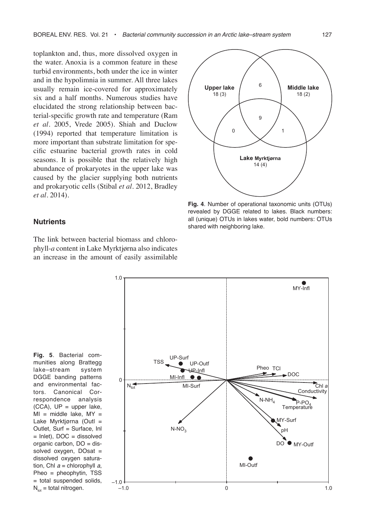toplankton and, thus, more dissolved oxygen in the water. Anoxia is a common feature in these turbid environments, both under the ice in winter and in the hypolimnia in summer. All three lakes usually remain ice-covered for approximately six and a half months. Numerous studies have elucidated the strong relationship between bacterial-specific growth rate and temperature (Ram *et al.* 2005, Vrede 2005). Shiah and Duclow (1994) reported that temperature limitation is more important than substrate limitation for specific estuarine bacterial growth rates in cold seasons. It is possible that the relatively high abundance of prokaryotes in the upper lake was caused by the glacier supplying both nutrients and prokaryotic cells (Stibal *et al.* 2012, Bradley *et al.* 2014).

#### **Nutrients**

The link between bacterial biomass and chlorophyll-*a* content in Lake Myrktjørna also indicates an increase in the amount of easily assimilable

1.0



**Fig. 4**. Number of operational taxonomic units (OTUs) revealed by DGGE related to lakes. Black numbers: all (unique) OTUs in lakes water, bold numbers: OTUs shared with neighboring lake.

MY-Infl



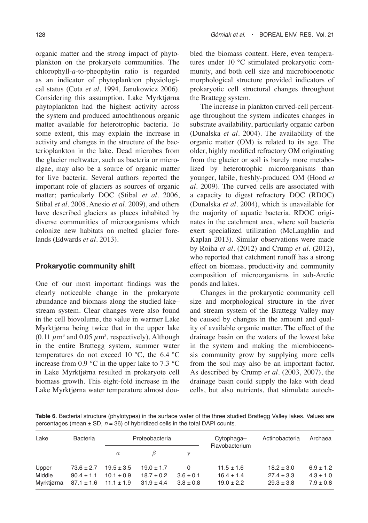organic matter and the strong impact of phytoplankton on the prokaryote communities. The chlorophyll-*a*-to-pheophytin ratio is regarded as an indicator of phytoplankton physiological status (Cota *et al.* 1994, Janukowicz 2006). Considering this assumption, Lake Myrktjørna phytoplankton had the highest activity across the system and produced autochthonous organic matter available for heterotrophic bacteria. To some extent, this may explain the increase in activity and changes in the structure of the bacterioplankton in the lake. Dead microbes from the glacier meltwater, such as bacteria or microalgae, may also be a source of organic matter for live bacteria. Several authors reported the important role of glaciers as sources of organic matter; particularly DOC (Stibal *et al.* 2006, Stibal *et al.* 2008, Anesio *et al.* 2009), and others have described glaciers as places inhabited by diverse communities of microorganisms which colonize new habitats on melted glacier forelands (Edwards *et al.* 2013).

### **Prokaryotic community shift**

One of our most important findings was the clearly noticeable change in the prokaryote abundance and biomass along the studied lake– stream system. Clear changes were also found in the cell biovolume, the value in warmer Lake Myrktjørna being twice that in the upper lake  $(0.11 \ \mu m^3 \text{ and } 0.05 \ \mu m^3 \text{, respectively)}$ . Although in the entire Brattegg system, summer water temperatures do not exceed 10 °C, the 6.4 °C increase from 0.9 °C in the upper lake to 7.3 °C in Lake Myrktjørna resulted in prokaryote cell biomass growth. This eight-fold increase in the Lake Myrktjørna water temperature almost doubled the biomass content. Here, even temperatures under 10 °C stimulated prokaryotic community, and both cell size and microbiocenotic morphological structure provided indicators of prokaryotic cell structural changes throughout the Brattegg system.

The increase in plankton curved-cell percentage throughout the system indicates changes in substrate availability, particularly organic carbon (Dunalska *et al.* 2004). The availability of the organic matter (OM) is related to its age. The older, highly modified refractory OM originating from the glacier or soil is barely more metabolized by heterotrophic microorganisms than younger, labile, freshly-produced OM (Hood *et al.* 2009). The curved cells are associated with a capacity to digest refractory DOC (RDOC) (Dunalska *et al.* 2004), which is unavailable for the majority of aquatic bacteria. RDOC originates in the catchment area, where soil bacteria exert specialized utilization (McLaughlin and Kaplan 2013). Similar observations were made by Roiha *et al.* (2012) and Crump *et al.* (2012), who reported that catchment runoff has a strong effect on biomass, productivity and community composition of microorganisms in sub-Arctic ponds and lakes.

Changes in the prokaryotic community cell size and morphological structure in the river and stream system of the Brattegg Valley may be caused by changes in the amount and quality of available organic matter. The effect of the drainage basin on the waters of the lowest lake in the system and making the microbiocenosis community grow by supplying more cells from the soil may also be an important factor. As described by Crump *et al*. (2003, 2007), the drainage basin could supply the lake with dead cells, but also nutrients, that stimulate autoch-

**Table 6**. Bacterial structure (phylotypes) in the surface water of the three studied Brattegg Valley lakes. Values are percentages (mean  $\pm$  SD,  $n = 36$ ) of hybridized cells in the total DAPI counts.

| Lake       | Bacteria                      |                | Proteobacteria |               | Cytophaga-<br>Flavobacterium | Actinobacteria | Archaea       |
|------------|-------------------------------|----------------|----------------|---------------|------------------------------|----------------|---------------|
|            |                               | $\alpha$       |                |               |                              |                |               |
| Upper      | $73.6 \pm 2.7$                | $19.5 \pm 3.5$ | $19.0 \pm 1.7$ | 0             | $11.5 \pm 1.6$               | $18.2 \pm 3.0$ | $6.9 \pm 1.2$ |
| Middle     | $90.4 \pm 1.1$                | $10.1 \pm 0.9$ | $18.7 \pm 0.2$ | $3.6 \pm 0.1$ | $16.4 \pm 1.4$               | $27.4 \pm 3.3$ | $4.3 \pm 1.0$ |
| Myrktjørna | $87.1 \pm 1.6$ $11.1 \pm 1.9$ |                | $31.9 \pm 4.4$ | $3.8 \pm 0.8$ | $19.0 \pm 2.2$               | $29.3 \pm 3.8$ | $7.9 \pm 0.8$ |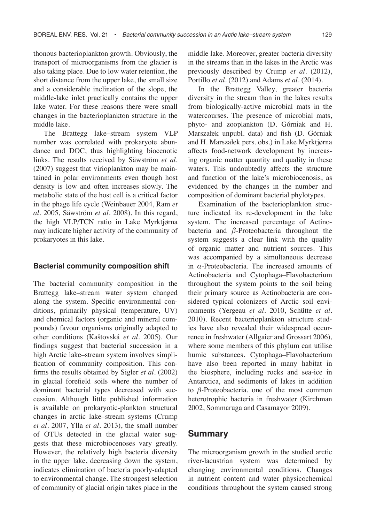thonous bacterioplankton growth. Obviously, the transport of microorganisms from the glacier is also taking place. Due to low water retention, the short distance from the upper lake, the small size and a considerable inclination of the slope, the middle-lake inlet practically contains the upper lake water. For these reasons there were small changes in the bacterioplankton structure in the middle lake.

The Brattegg lake–stream system VLP number was correlated with prokaryote abundance and DOC, thus highlighting biocenotic links. The results received by Säwström *et al.* (2007) suggest that virioplankton may be maintained in polar environments even though host density is low and often increases slowly. The metabolic state of the host cell is a critical factor in the phage life cycle (Weinbauer 2004, Ram *et al.* 2005, Säwström *et al.* 2008). In this regard, the high VLP/TCN ratio in Lake Myrktjørna may indicate higher activity of the community of prokaryotes in this lake.

#### **Bacterial community composition shift**

The bacterial community composition in the Brattegg lake–stream water system changed along the system. Specific environmental conditions, primarily physical (temperature, UV) and chemical factors (organic and mineral compounds) favour organisms originally adapted to other conditions (Kaštovská *et al.* 2005). Our findings suggest that bacterial succession in a high Arctic lake–stream system involves simplification of community composition. This confirms the results obtained by Sigler *et al.* (2002) in glacial forefield soils where the number of dominant bacterial types decreased with succession. Although little published information is available on prokaryotic-plankton structural changes in arctic lake–stream systems (Crump *et al.* 2007, Ylla *et al.* 2013), the small number of OTUs detected in the glacial water suggests that these microbiocenoses vary greatly. However, the relatively high bacteria diversity in the upper lake, decreasing down the system, indicates elimination of bacteria poorly-adapted to environmental change. The strongest selection of community of glacial origin takes place in the middle lake. Moreover, greater bacteria diversity in the streams than in the lakes in the Arctic was previously described by Crump *et al.* (2012), Portillo *et al.* (2012) and Adams *et al.* (2014).

In the Brattegg Valley, greater bacteria diversity in the stream than in the lakes results from biologically-active microbial mats in the watercourses. The presence of microbial mats, phyto- and zooplankton (D. Górniak and H. Marszałek unpubl. data) and fish (D. Górniak and H. Marszałek pers. obs.) in Lake Myrktjørna affects food-network development by increasing organic matter quantity and quality in these waters. This undoubtedly affects the structure and function of the lake's microbiocenosis, as evidenced by the changes in the number and composition of dominant bacterial phylotypes.

Examination of the bacterioplankton structure indicated its re-development in the lake system. The increased percentage of Actinobacteria and *β-*Proteobacteria throughout the system suggests a clear link with the quality of organic matter and nutrient sources. This was accompanied by a simultaneous decrease in *α*-Proteobacteria. The increased amounts of Actinobacteria and Cytophaga–Flavobacterium throughout the system points to the soil being their primary source as Actinobacteria are considered typical colonizers of Arctic soil environments (Yergeau *et al.* 2010, Schütte *et al.* 2010). Recent bacterioplankton structure studies have also revealed their widespread occurrence in freshwater (Allgaier and Grossart 2006), where some members of this phylum can utilise humic substances. Cytophaga–Flavobacterium have also been reported in many habitat in the biosphere, including rocks and sea-ice in Antarctica, and sediments of lakes in addition to *β-*Proteobacteria, one of the most common heterotrophic bacteria in freshwater (Kirchman 2002, Sommaruga and Casamayor 2009).

### **Summary**

The microorganism growth in the studied arctic river-lacustrian system was determined by changing environmental conditions. Changes in nutrient content and water physicochemical conditions throughout the system caused strong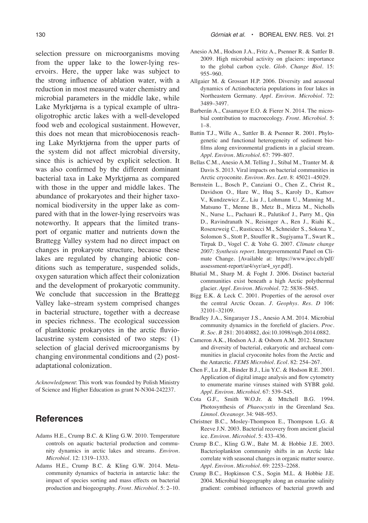selection pressure on microorganisms moving from the upper lake to the lower-lying reservoirs. Here, the upper lake was subject to the strong influence of ablation water, with a reduction in most measured water chemistry and microbial parameters in the middle lake, while Lake Myrktjørna is a typical example of ultraoligotrophic arctic lakes with a well-developed food web and ecological sustainment. However, this does not mean that microbiocenosis reaching Lake Myrktjørna from the upper parts of the system did not affect microbial diversity, since this is achieved by explicit selection. It was also confirmed by the different dominant bacterial taxa in Lake Myrktjørna as compared with those in the upper and middle lakes. The abundance of prokaryotes and their higher taxonomical biodiversity in the upper lake as compared with that in the lower-lying reservoirs was noteworthy. It appears that the limited transport of organic matter and nutrients down the Brattegg Valley system had no direct impact on changes in prokaryote structure, because these lakes are regulated by changing abiotic conditions such as temperature, suspended solids, oxygen saturation which affect their colonization and the development of prokaryotic community. We conclude that succession in the Brattegg Valley lake–stream system comprised changes in bacterial structure, together with a decrease in species richness. The ecological succession of planktonic prokaryotes in the arctic fluviolacustrine system consisted of two steps: (1) selection of glacial derived microorganisms by changing environmental conditions and (2) postadaptational colonization.

*Acknowledgment*: This work was founded by Polish Ministry of Science and Higher Education as grant N-N304-242237.

### **References**

- Adams H.E., Crump B.C. & Kling G.W. 2010. Temperature controls on aquatic bacterial production and community dynamics in arctic lakes and streams. *Environ. Microbiol.* 12: 1319–1333*.*
- Adams H.E., Crump B.C. & Kling G.W. 2014. Metacommunity dynamics of bacteria in antarctic lake: the impact of species sorting and mass effects on bacterial production and biogeography. *Front. Microbiol.* 5: 2–10.
- Anesio A.M., Hodson J.A., Fritz A., Psenner R. & Sattler B. 2009. High microbial activity on glaciers: importance to the global carbon cycle. *Glob. Change Biol.* 15: 955–960.
- Allgaier M. & Grossart H.P. 2006. Diversity and aeasonal dynamics of Actinobacteria populations in four lakes in Northeastern Germany. *Appl. Environ. Microbiol.* 72: 3489–3497.
- Barberán A., Casamayor E.O. & Fierer N. 2014. The microbial contribution to macroecology. *Front. Microbiol.* 5: 1–8.
- Battin T.J., Wille A., Sattler B. & Psenner R. 2001. Phylogenetic and functional heterogeneity of sediment biofilms along environmental gradients in a glacial stream. *Appl. Environ. Microbiol.* 67: 799–807.
- Bellas C.M., Anesio A.M. Telling J., Stibal M., Tranter M. & Davis S. 2013. Viral impacts on bacterial communities in Arctic cryoconite. *Environ. Res. Lett.* 8: 45021–45029.
- Bernstein L., Bosch P., Canziani O., Chen Z., Christ R., Davidson O., Hare W., Huq S., Karoly D., Kattsov V., Kundzewicz Z., Liu J., Lohmann U., Manning M., Matsuno T., Menne B., Metz B., Mirza M., Nicholls N., Nurse L., Pachauri R., Palutikof J., Parry M., Qin D., Ravindranath N., Reisinger A., Ren J., Riahi K., Rosenzweig C., Rusticucci M., Schneider S., Sokona Y., Solomon S., Stott P., Stouffer R., Sugiyama T., Swart R., Tirpak D., Vogel C. & Yohe G. 2007. *Climate change 2007: Synthesis report*. Intergovernmental Panel on Climate Change. [Available at: https://www.ipcc.ch/pdf/ assessment-report/ar4/syr/ar4\_syr.pdf].
- Bhatial M., Sharp M. & Foght J. 2006. Distinct bacterial communities exist beneath a high Arctic polythermal glacier. *Appl. Environ. Microbiol.* 72: 5838–5845.
- Bigg E.K. & Leck C. 2001. Properties of the aerosol over the central Arctic Ocean. *J. Geophys. Res. D* 106: 32101–32109.
- Bradley J.A., Singarayer J.S., Anesio A.M. 2014. Microbial community dynamics in the forefield of glaciers. *Proc. R. Soc. B* 281: 20140882, doi:10.1098/rspb.2014.0882.
- Cameron A.K., Hodson A.J. & Osborn A.M. 2012. Structure and diversity of bacterial, eukaryotic and archaeal communities in glacial cryoconite holes from the Arctic and the Antarctic. *FEMS Microbiol. Ecol.* 82: 254–267.
- Chen F., Lu J.R., Binder B.J., Liu Y.C. & Hodson R.E. 2001. Application of digital image analysis and flow cytometry to enumerate marine viruses stained with SYBR gold. *Appl. Environ. Microbiol.* 67: 539–545.
- Cota G.F., Smith W.O.Jr. & Mttchell B.G. 1994. Photosynthesis of *Phaeocystis* in the Greenland Sea. *Limnol. Oceanogr.* 34: 948–953.
- Christner B.C., Mosley-Thompson E., Thompson L.G. & Reeve J.N. 2003. Bacterial recovery from ancient glacial ice. *Environ. Microbiol*. 5: 433–436.
- Crump B.C., Kling G.W., Bahr M. & Hobbie J.E. 2003. Bacterioplankton community shifts in an Arctic lake correlate with seasonal changes in organic matter source. *Appl. Environ. Microbiol.* 69: 2253–2268.
- Crump B.C., Hopkinson C.S., Sogin M.L. & Hobbie J.E. 2004. Microbial biogeography along an estuarine salinity gradient: combined influences of bacterial growth and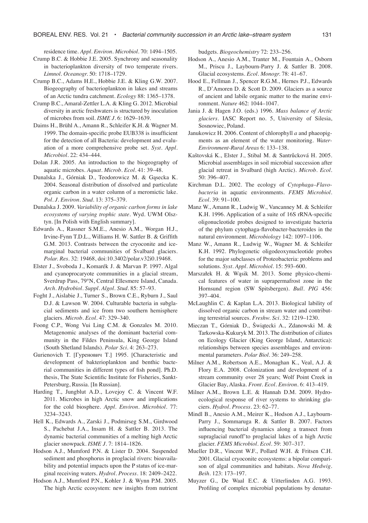residence time. *Appl. Environ. Microbiol.* 70: 1494–1505.

- Crump B.C. & Hobbie J.E. 2005. Synchrony and seasonality in bacterioplankton diversity of two temperate rivers. *Limnol. Oceanogr.* 50: 1718–1729.
- Crump B.C., Adams H.E., Hobbie J.E. & Kling G.W. 2007. Biogeography of bacterioplankton in lakes and streams of an Arctic tundra catchment. *Ecology* 88: 1365–1378.
- Crump B.C., Amaral-Zettler L.A. & Kling G. 2012. Microbial diversity in arctic freshwaters is structured by inoculation of microbes from soil. *ISME J.* 6: 1629–1639.
- Daims H., Brühl A., Amann R., Schleifer K.H. & Wagner M. 1999. The domain-specific probe EUB338 is insufficient for the detection of all Bacteria: development and evaluation of a more comprehensive probe set. *Syst. Appl. Microbiol.* 22: 434–444.
- Dolan J.R. 2005. An introduction to the biogeography of aquatic microbes. *Aquat. Microb. Ecol.* 41: 39–48.
- Dunalska J., Górniak D., Teodorowicz M. & Gąsecka K. 2004. Seasonal distribution of dissolved and particulate organic carbon in a water column of a meromictic lake. *Pol. J. Environ. Stud.* 13: 375–379.
- Dunalska J. 2009. *Variability of organic carbon forms in lake ecosystems of varying trophic state*. Wyd. UWM Olsztyn. [In Polish with English summary].
- Edwards A., Rassner S.M.E., Anesio A.M., Worgan H.J., Irvine-Fynn T.D.L., Williams H. W. Sattler B. & Griffith G.M. 2013. Contrasts between the cryoconite and icemarginal bacterial communities of Svalbard glaciers. *Polar. Res.* 32: 19468, doi:10.3402/polar.v32i0.19468.
- Elster J., Svoboda J., Komarék J. & Marvan P. 1997. Algal and cyanoprocaryote communities in a glacial stream, Sverdrup Pass, 79°N, Central Ellesmere Island, Canada. *Arch. Hydrobiol. Suppl. Algol. Stud.* 85: 57–93.
- Foght J., Aislabie J., Turner S., Brown C.E., Ryburn J., Saul D.J. & Lawson W. 2004. Culturable bacteria in subglacial sediments and ice from two southern hemisphere glaciers. *Microb. Ecol.* 47: 329–340.
- Foong C.P., Wong Vui Ling C.M. & Gonzales M. 2010. Metagenomic analyses of the dominant bacterial community in the Fildes Peninsula, King George Island (South Shetland Islands). *Polar Sci.* 4: 263–273.
- Gurienovich Т. [Гуренович Т.] 1995. [Characteristic and development of bakterioplankton and benthic bacterial communities in different types of fish pond]. Ph.D. thesis, The State Scientific Institute for Fisheries, Sankt-Petersburg, Russia. [In Russian].
- Harding T., Jungblut A.D., Lovejoy C. & Vincent W.F. 2011. Microbes in high Arctic snow and implications for the cold biosphere. *Appl. Environ. Microbiol.* 77: 3234–3243.
- Hell K., Edwards A., Zarski J., Podmirseg S.M., Girdwood S., Pachebat J.A., Insam H. & Sattler B. 2013. The dynamic bacterial communities of a melting high Arctic glacier snowpack. *ISME J.* 7: 1814–1826.
- Hodson A.J., Mumford P.N. & Lister D. 2004. Suspended sediment and phosphorus in proglacial rivers: bioavailability and potential impacts upon the P status of ice-marginal receiving waters. *Hydrol. Process.* 18: 2409–2422.
- Hodson A.J., Mumford P.N., Kohler J. & Wynn P.M. 2005. The high Arctic ecosystem: new insights from nutrient

budgets. *Biogeochemistry* 72: 233–256.

- Hodson A., Anesio A.M., Tranter M., Fountain A., Osborn M., Priscu J., Laybourn-Parry J. & Sattler B. 2008. Glacial ecosystems. *Ecol. Monogr.* 78: 41–67.
- Hood E., Fellman J., Spencer R.G.M., Hernes P.J., Edwards R., D'Amoren D. & Scott D. 2009. Glaciers as a source of ancient and labile organic matter to the marine environment. *Nature* 462: 1044–1047.
- Jania J. & Hagen J.O. (eds.) 1996. *Mass balance of Arctic glaciers*. IASC Report no. 5, University of Silesia, Sosnowiec, Poland.
- Janukowicz H. 2006. Content of chlorophyll *a* and phaeopigments as an element of the water monitoring. *Water-Environment-Rural Areas* 6: 133–138.
- Kaštovská K., Elster J., Stibal M. & Santrůcková H. 2005. Microbial assemblages in soil microbial succession after glacial retreat in Svalbard (high Arctic). *Microb. Ecol.* 50: 396–407.
- Kirchman D.L. 2002. The ecology of *Cytophaga–Flavobacteria* in aquatic environments. *FEMS Microbiol. Ecol.* 39: 91–100.
- Manz W., Amann R., Ludwig W., Vancanney M. & Schleifer K.H. 1996. Application of a suite of 16S rRNA-specific oligonucleotide probes designed to investigate bacteria of the phylum cytophaga-flavobacter-bacteroides in the natural environment. *Microbiology* 142: 1097–1106.
- Manz W., Amann R., Ludwig W., Wagner M. & Schleifer K.H. 1992. Phylogenetic oligodeoxynucleotide probes for the major subclasses of Proteobacteria: problems and solutions. *Syst. Appl. Microbiol.* 15: 593–600.
- Marszałek H. & Wąsik M. 2013. Some physico-chemical features of water in suprapermafrost zone in the Hornsund region (SW Spitsbergen). *Bull. PIG* 456: 397–404*.*
- McLaughlin C. & Kaplan L.A. 2013. Biological lability of dissolved organic carbon in stream water and contributing terrestrial sources. *Freshw. Sci*. 32: 1219–1230.
- Mieczan T., Górniak D., Świątecki A., Zdanowski M. & Tarkowska-Kukuryk M. 2013. The distribution of ciliates on Ecology Glacier (King George Island, Antarctica): relationships between species assemblages and environmental parameters. *Polar Biol.* 36: 249–258.
- Milner A.M., Robertson A.E., Monaghan K., Veal, A.J. & Flory E.A. 2008. Colonization and development of a stream community over 28 years; Wolf Point Creek in Glacier Bay, Alaska. *Front. Ecol. Environ.* 6: 413–419.
- Milner A.M., Brown L.E. & Hannah D.M. 2009. Hydroecological response of river systems to shrinking glaciers. *Hydrol. Process.* 23: 62–77.
- Mindl B., Anesio A.M., Meirer K., Hodson A.J., Laybourn-Parry J., Sommaruga R. & Sattler B. 2007. Factors influencing bacterial dynamics along a transect from supraglacial runoffˇto proglacial lakes of a high Arctic glacier. *FEMS Microbiol. Ecol.* 59: 307–317.
- Mueller D.R., Vincent W.F., Pollard W.H. & Fritsen C.H. 2001. Glacial cryoconite ecosystems: a bipolar comparison of algal communities and habitats. *Nova Hedwig. Beih*. 123: 173–197.
- Muyzer G., De Waal E.C. & Uitterlinden A.G. 1993. Profiling of complex microbial populations by denatur-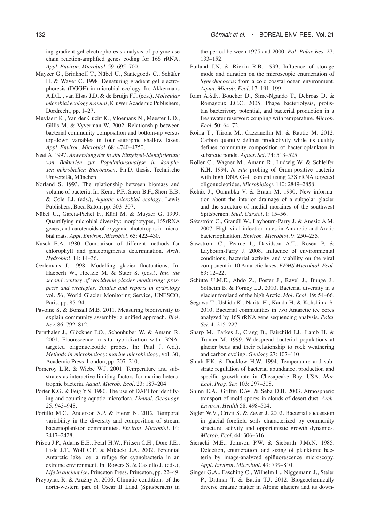ing gradient gel electrophoresis analysis of polymerase chain reaction-amplified genes coding for 16S rRNA. *Appl. Environ. Microbiol.* 59: 695–700.

- Muyzer G., Brinkhoff T., Nübel U., Santegoeds C., Schäfer H. & Waver C. 1998. Denaturing gradient gel electrophoresis (DGGE) in microbial ecology. In: Akkermans A.D.L., van Elsas J.D. & de Bruijn F.J. (eds.), *Molecular microbial ecology manual*, Kluwer Academic Publishers, Dordrecht, pp. 1–27.
- Muylaert K., Van der Gucht K., Vloemans N., Meester L.D., Gillis M. & Vyverman W. 2002. Relationship between bacterial community composition and bottom-up versus top-down variables in four eutrophic shallow lakes. *Appl. Environ. Microbiol.* 68: 4740–4750.
- Neef A. 1997. *Anwendung der in situ Einzelzell-Identifizierung von Bakterien zur Populationsanalyse in komplexen mikrobiellen Biozönosen*. Ph.D. thesis, Technische Universität, München.
- Norland S. 1993. The relationship between biomass and volume of bacteria. In: Kemp P.F., Sherr B.F., Sherr E.B. & Cole J.J. (eds.), *Aquatic microbial ecology*, Lewis Publishers, Boca Raton, pp. 303–307.
- Nübel U., Garcia-Pichel F., Kühl M. & Muyzer G. 1999. Quantifying microbial diversity: morphotypes, 16SrRNA genes, and carotenoids of oxygenic phototrophs in microbial mats. *Appl. Environ. Microbiol.* 65: 422–430.
- Nusch E.A. 1980. Comparison of different methods for chlorophyll and phaeopigments determination. *Arch. Hydrobiol.* 14: 14–36.
- Oerlemans J. 1998. Modelling glacier fluctuations. In: Haeberli W., Hoelzle M. & Suter S. (eds.), *Into the second century of worldwide glacier monitoring: prospects and strategies. Studies and reports in hydrology* vol. 56, World Glacier Monitoring Service, UNESCO, Paris, pp. 85–94.
- Pavoine S. & Bonsall M.B. 2011. Measuring biodiversity to explain community assembly: a unified approach. *Biol. Rev.* 86: 792–812.
- Pernthaler J., Glöckner F.O., Schonhuber W. & Amann R. 2001. Fluorescence in situ hybridization with rRNAtargeted oligonucleotide probes. In: Paul J. (ed.), *Methods in microbiology*: *marine microbiology*, vol. 30, Academic Press, London, pp. 207–210.
- Pomeroy L.R. & Wiebe W.J. 2001. Temperature and substrates as interactive limiting factors for marine heterotrophic bacteria. *Aquat. Microb. Ecol.* 23: 187–204.
- Porter K.G. & Feig Y.S. 1980. The use of DAPI for identifying and counting aquatic microflora. *Limnol. Oceanogr.*  25: 943–948*.*
- Portillo M.C., Anderson S.P. & Fierer N. 2012. Temporal variability in the diversity and composition of stream bacterioplankton communities. *Environ. Microbiol.* 14: 2417–2428.
- Priscu J.P., Adams E.E., Pearl H.W., Fritsen C.H., Dore J.E., Lisle J.T., Wolf C.F. & Mikucki J.A. 2002. Perennial Antarctic lake ice: a refuge for cyanobacteria in an extreme environment. In: Rogers S. & Castello J. (eds.), *Life in ancient ice*, Princeton Press, Princeton, pp. 22–49.
- Przybylak R. & Araźny A. 2006. Climatic conditions of the north-western part of Oscar II Land (Spitsbergen) in

the period between 1975 and 2000. *Pol. Polar Res.* 27: 133–152.

- Putland J.N. & Rivkin R.B. 1999. Influence of storage mode and duration on the microscopic enumeration of *Synechococcus* from a cold coastal ocean environment. *Aquat. Microb. Ecol.* 17: 191–199.
- Ram A.S.P., Boucher D., Sime-Ngando T., Debroas D. & Romagoux J.C.C. 2005. Phage bacteriolysis, protistan bacterivory potential, and bacterial production in a freshwater reservoir: coupling with temperature. *Microb. Ecol*. 50: 64–72.
- Roiha T., Tiirola M., Cazzanellin M. & Rautio M. 2012. Carbon quantity defines productivity while its quality defines community composition of bacterioplankton in subarctic ponds. *Aquat. Sci.* 74: 513–525*.*
- Roller C., Wagner M., Amann R., Ludwig W. & Schleifer K.H. 1994. *In situ* probing of Gram-positive bacteria with high DNA G+C content using 23S rRNA targeted oligonucleotides. *Microbiology* 140: 2849–2858.
- Řehák J., Ouhrabka V. & Braun M. 1990. New information about the interior drainage of a subpolar glacier and the structure of medial moraines of the southwest Spitsbergen. *Stud. Carstol.* 1: 15–56.
- Säwström C., Granéli W., Laybourn-Parry J. & Anesio A.M. 2007. High viral infection rates in Antarctic and Arctic bacterioplankton. *Environ. Microbiol*. 9: 250–255.
- Säwström C., Pearce I., Davidson A.T., Rosén P. & Laybourn-Parry J. 2008. Influence of environmental conditions, bacterial activity and viability on the viral component in 10 Antarctic lakes. *FEMS Microbiol. Ecol.* 63: 12–22.
- Schütte U.M.E., Abdo Z., Foster J., Ravel J., Bunge J., Solheim B. & Forney L.J. 2010. Bacterial diversity in a glacier foreland of the high Arctic. *Mol. Ecol.* 19: 54–66.
- Segawa T., Ushida K., Narita H., Kanda H. & Kohshima S. 2010. Bacterial communities in two Antarctic ice cores analyzed by 16S rRNA gene sequencing analysis. *Polar Sci.* 4: 215–227.
- Sharp M., Parkes J., Cragg B., Fairchild I.J., Lamb H. & Tranter M. 1999. Widespread bacterial populations at glacier beds and their relationship to rock weathering and carbon cycling. *Geology* 27: 107–110.
- Shiah F.K. & Ducklow H.W. 1994. Temperature and substrate regulation of bacterial abundance, production and specific growth-rate in Chesapeake Bay, USA. *Mar. Ecol. Prog. Ser.* 103: 297–308.
- Shinn E.A., Griffin D.W. & Seba D.B. 2003. Atmospheric transport of mold spores in clouds of desert dust. *Arch. Environ. Health* 58: 498–504.
- Sigler W.V., Crivii S. & Zeyer J. 2002. Bacterial succession in glacial forefield soils characterized by community structure, activity and opportunistic growth dynamics. *Microb. Ecol.* 44: 306–316.
- Sieracki M.E., Johnson P.W. & Sieburth J.McN. 1985. Detection, enumeration, and sizing of planktonic bacteria by image-analyzed epifluorescence microscopy. *Appl. Environ. Microbiol.* 49: 799–810.
- Singer G.A., Fasching C., Wilhelm L., Niggemann J., Steier P., Dittmar T. & Battin T.J*.* 2012. Biogeochemically diverse organic matter in Alpine glaciers and its down-